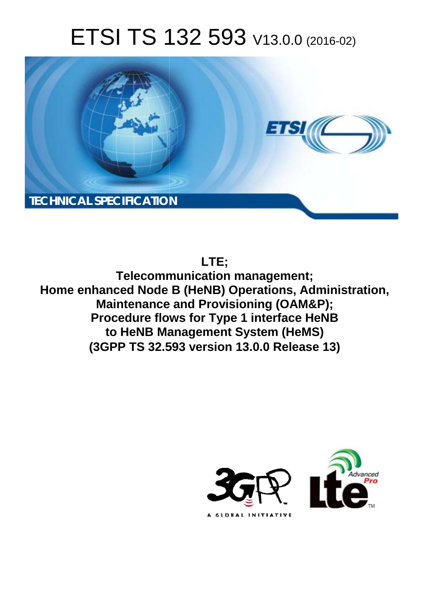# ETSI TS 132 593 V13.0.0 (2016-02)



# **LTE;**

**Telecomm munication management; Home enhanced Node B (HeNB) Operations, Administration, Maintenance and Provisioning (OAM&P); Maintenance and Provisioning (OAM&P);**<br>Procedure flows for Type 1 interface HeNB **to HeNB Ma Management System (HeMS)**  to HeNB Management System (HeMS)<br>(3GPP TS 32.593 version 13.0.0 Release 13)

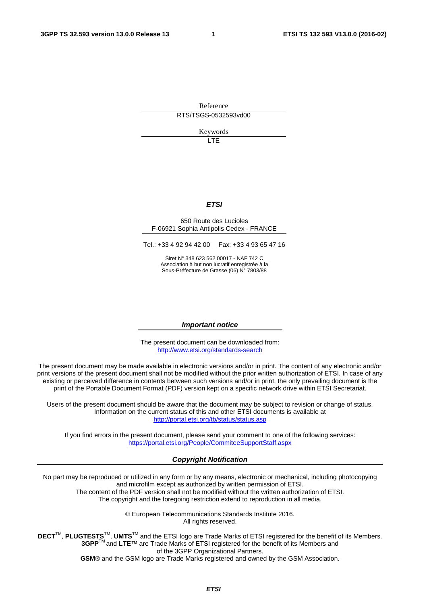Reference RTS/TSGS-0532593vd00

Keywords

 $\overline{1}$ 

#### *ETSI*

#### 650 Route des Lucioles F-06921 Sophia Antipolis Cedex - FRANCE

Tel.: +33 4 92 94 42 00 Fax: +33 4 93 65 47 16

Siret N° 348 623 562 00017 - NAF 742 C Association à but non lucratif enregistrée à la Sous-Préfecture de Grasse (06) N° 7803/88

#### *Important notice*

The present document can be downloaded from: <http://www.etsi.org/standards-search>

The present document may be made available in electronic versions and/or in print. The content of any electronic and/or print versions of the present document shall not be modified without the prior written authorization of ETSI. In case of any existing or perceived difference in contents between such versions and/or in print, the only prevailing document is the print of the Portable Document Format (PDF) version kept on a specific network drive within ETSI Secretariat.

Users of the present document should be aware that the document may be subject to revision or change of status. Information on the current status of this and other ETSI documents is available at <http://portal.etsi.org/tb/status/status.asp>

If you find errors in the present document, please send your comment to one of the following services: <https://portal.etsi.org/People/CommiteeSupportStaff.aspx>

#### *Copyright Notification*

No part may be reproduced or utilized in any form or by any means, electronic or mechanical, including photocopying and microfilm except as authorized by written permission of ETSI.

The content of the PDF version shall not be modified without the written authorization of ETSI. The copyright and the foregoing restriction extend to reproduction in all media.

> © European Telecommunications Standards Institute 2016. All rights reserved.

**DECT**TM, **PLUGTESTS**TM, **UMTS**TM and the ETSI logo are Trade Marks of ETSI registered for the benefit of its Members. **3GPP**TM and **LTE**™ are Trade Marks of ETSI registered for the benefit of its Members and of the 3GPP Organizational Partners.

**GSM**® and the GSM logo are Trade Marks registered and owned by the GSM Association.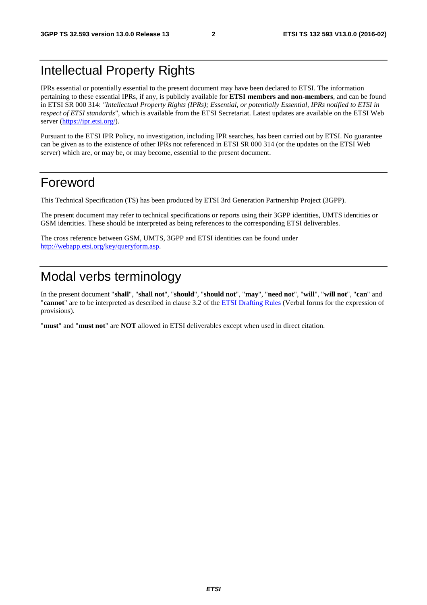# Intellectual Property Rights

IPRs essential or potentially essential to the present document may have been declared to ETSI. The information pertaining to these essential IPRs, if any, is publicly available for **ETSI members and non-members**, and can be found in ETSI SR 000 314: *"Intellectual Property Rights (IPRs); Essential, or potentially Essential, IPRs notified to ETSI in respect of ETSI standards"*, which is available from the ETSI Secretariat. Latest updates are available on the ETSI Web server [\(https://ipr.etsi.org/\)](https://ipr.etsi.org/).

Pursuant to the ETSI IPR Policy, no investigation, including IPR searches, has been carried out by ETSI. No guarantee can be given as to the existence of other IPRs not referenced in ETSI SR 000 314 (or the updates on the ETSI Web server) which are, or may be, or may become, essential to the present document.

## Foreword

This Technical Specification (TS) has been produced by ETSI 3rd Generation Partnership Project (3GPP).

The present document may refer to technical specifications or reports using their 3GPP identities, UMTS identities or GSM identities. These should be interpreted as being references to the corresponding ETSI deliverables.

The cross reference between GSM, UMTS, 3GPP and ETSI identities can be found under [http://webapp.etsi.org/key/queryform.asp.](http://webapp.etsi.org/key/queryform.asp)

# Modal verbs terminology

In the present document "**shall**", "**shall not**", "**should**", "**should not**", "**may**", "**need not**", "**will**", "**will not**", "**can**" and "**cannot**" are to be interpreted as described in clause 3.2 of the [ETSI Drafting Rules](http://portal.etsi.org/Help/editHelp!/Howtostart/ETSIDraftingRules.aspx) (Verbal forms for the expression of provisions).

"**must**" and "**must not**" are **NOT** allowed in ETSI deliverables except when used in direct citation.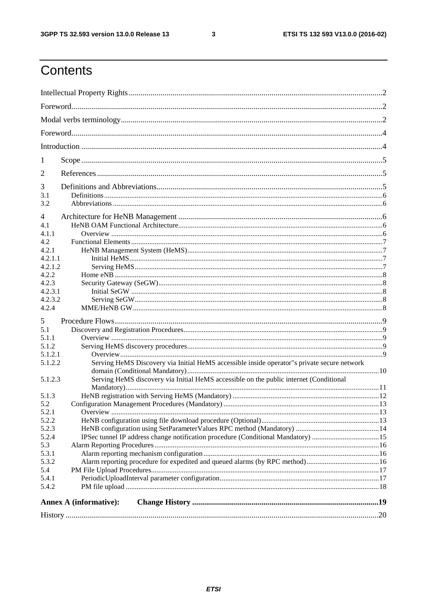$\mathbf{3}$ 

# Contents

| <b>Annex A (informative):</b>                                                                          |  |  |  |  |  |  |  |
|--------------------------------------------------------------------------------------------------------|--|--|--|--|--|--|--|
|                                                                                                        |  |  |  |  |  |  |  |
| 5.4.2                                                                                                  |  |  |  |  |  |  |  |
| 5.4.1                                                                                                  |  |  |  |  |  |  |  |
| 5.4                                                                                                    |  |  |  |  |  |  |  |
| Alarm reporting procedure for expedited and queued alarms (by RPC method)16<br>5.3.2                   |  |  |  |  |  |  |  |
| 5.3<br>5.3.1                                                                                           |  |  |  |  |  |  |  |
| IPSec tunnel IP address change notification procedure (Conditional Mandatory) 15<br>5.2.4              |  |  |  |  |  |  |  |
| 5.2.3                                                                                                  |  |  |  |  |  |  |  |
| 5.2.2                                                                                                  |  |  |  |  |  |  |  |
| 5.2.1                                                                                                  |  |  |  |  |  |  |  |
| 5.2                                                                                                    |  |  |  |  |  |  |  |
| 5.1.3                                                                                                  |  |  |  |  |  |  |  |
|                                                                                                        |  |  |  |  |  |  |  |
| Serving HeMS discovery via Initial HeMS accessible on the public internet (Conditional<br>5.1.2.3      |  |  |  |  |  |  |  |
|                                                                                                        |  |  |  |  |  |  |  |
| Serving HeMS Discovery via Initial HeMS accessible inside operator"s private secure network<br>5.1.2.2 |  |  |  |  |  |  |  |
| 5.1.2.1                                                                                                |  |  |  |  |  |  |  |
| 5.1.2                                                                                                  |  |  |  |  |  |  |  |
| 5.1.1                                                                                                  |  |  |  |  |  |  |  |
| 5.1                                                                                                    |  |  |  |  |  |  |  |
| 5                                                                                                      |  |  |  |  |  |  |  |
|                                                                                                        |  |  |  |  |  |  |  |
| 4.2.4                                                                                                  |  |  |  |  |  |  |  |
| 4.2.3.2                                                                                                |  |  |  |  |  |  |  |
| 4.2.3.1                                                                                                |  |  |  |  |  |  |  |
| 4.2.2<br>4.2.3                                                                                         |  |  |  |  |  |  |  |
| 4.2.1.2                                                                                                |  |  |  |  |  |  |  |
| 4.2.1.1                                                                                                |  |  |  |  |  |  |  |
| 4.2.1                                                                                                  |  |  |  |  |  |  |  |
| 4.2                                                                                                    |  |  |  |  |  |  |  |
| 4.1.1                                                                                                  |  |  |  |  |  |  |  |
| 4.1                                                                                                    |  |  |  |  |  |  |  |
| 4                                                                                                      |  |  |  |  |  |  |  |
|                                                                                                        |  |  |  |  |  |  |  |
| 3.2                                                                                                    |  |  |  |  |  |  |  |
| 3.1                                                                                                    |  |  |  |  |  |  |  |
| 3                                                                                                      |  |  |  |  |  |  |  |
| 2                                                                                                      |  |  |  |  |  |  |  |
|                                                                                                        |  |  |  |  |  |  |  |
| 1                                                                                                      |  |  |  |  |  |  |  |
|                                                                                                        |  |  |  |  |  |  |  |
|                                                                                                        |  |  |  |  |  |  |  |
|                                                                                                        |  |  |  |  |  |  |  |
|                                                                                                        |  |  |  |  |  |  |  |
|                                                                                                        |  |  |  |  |  |  |  |
|                                                                                                        |  |  |  |  |  |  |  |
|                                                                                                        |  |  |  |  |  |  |  |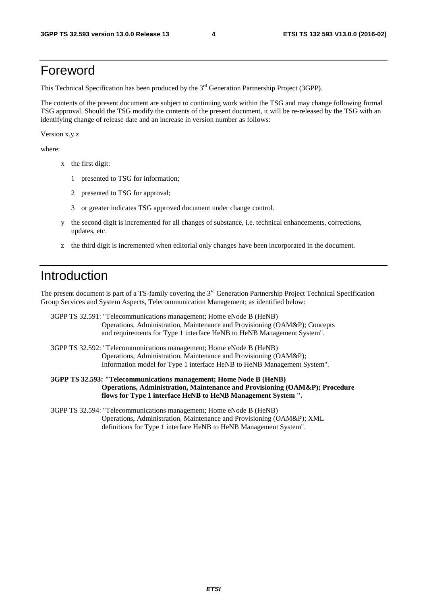### Foreword

This Technical Specification has been produced by the 3<sup>rd</sup> Generation Partnership Project (3GPP).

The contents of the present document are subject to continuing work within the TSG and may change following formal TSG approval. Should the TSG modify the contents of the present document, it will be re-released by the TSG with an identifying change of release date and an increase in version number as follows:

Version x.y.z

where:

- x the first digit:
	- 1 presented to TSG for information;
	- 2 presented to TSG for approval;
	- 3 or greater indicates TSG approved document under change control.
- y the second digit is incremented for all changes of substance, i.e. technical enhancements, corrections, updates, etc.
- z the third digit is incremented when editorial only changes have been incorporated in the document.

# Introduction

The present document is part of a TS-family covering the  $3<sup>rd</sup>$  Generation Partnership Project Technical Specification Group Services and System Aspects, Telecommunication Management; as identified below:

3GPP TS 32.591: "Telecommunications management; Home eNode B (HeNB) Operations, Administration, Maintenance and Provisioning (OAM&P); Concepts and requirements for Type 1 interface HeNB to HeNB Management System".

3GPP TS 32.592: "Telecommunications management; Home eNode B (HeNB) Operations, Administration, Maintenance and Provisioning (OAM&P); Information model for Type 1 interface HeNB to HeNB Management System".

**3GPP TS 32.593: "Telecommunications management; Home Node B (HeNB) Operations, Administration, Maintenance and Provisioning (OAM&P); Procedure flows for Type 1 interface HeNB to HeNB Management System ".** 

3GPP TS 32.594: "Telecommunications management; Home eNode B (HeNB) Operations, Administration, Maintenance and Provisioning (OAM&P); XML definitions for Type 1 interface HeNB to HeNB Management System".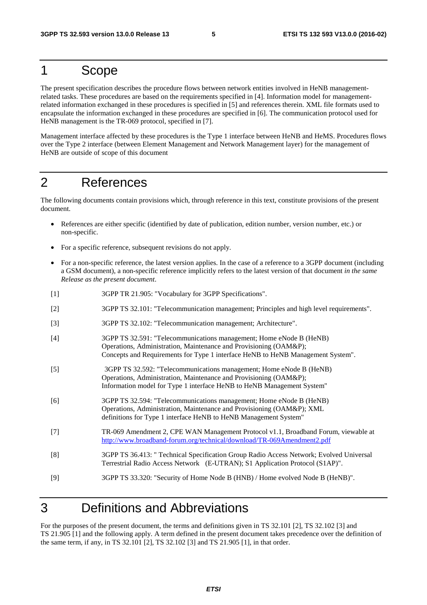### 1 Scope

The present specification describes the procedure flows between network entities involved in HeNB managementrelated tasks. These procedures are based on the requirements specified in [4]. Information model for managementrelated information exchanged in these procedures is specified in [5] and references therein. XML file formats used to encapsulate the information exchanged in these procedures are specified in [6]. The communication protocol used for HeNB management is the TR-069 protocol, specified in [7].

Management interface affected by these procedures is the Type 1 interface between HeNB and HeMS. Procedures flows over the Type 2 interface (between Element Management and Network Management layer) for the management of HeNB are outside of scope of this document

# 2 References

The following documents contain provisions which, through reference in this text, constitute provisions of the present document.

- References are either specific (identified by date of publication, edition number, version number, etc.) or non-specific.
- For a specific reference, subsequent revisions do not apply.
- For a non-specific reference, the latest version applies. In the case of a reference to a 3GPP document (including a GSM document), a non-specific reference implicitly refers to the latest version of that document *in the same Release as the present document*.
- [1] 3GPP TR 21.905: "Vocabulary for 3GPP Specifications".
- [2] 3GPP TS 32.101: "Telecommunication management; Principles and high level requirements".
- [3] 3GPP TS 32.102: "Telecommunication management; Architecture".
- [4] 3GPP TS 32.591: "Telecommunications management; Home eNode B (HeNB) Operations, Administration, Maintenance and Provisioning (OAM&P); Concepts and Requirements for Type 1 interface HeNB to HeNB Management System".
- [5] 3GPP TS 32.592: "Telecommunications management; Home eNode B (HeNB) Operations, Administration, Maintenance and Provisioning (OAM&P); Information model for Type 1 interface HeNB to HeNB Management System"
- [6] 3GPP TS 32.594: "Telecommunications management; Home eNode B (HeNB) Operations, Administration, Maintenance and Provisioning (OAM&P); XML definitions for Type 1 interface HeNB to HeNB Management System"
- [7] TR-069 Amendment 2, CPE WAN Management Protocol v1.1, Broadband Forum, viewable at <http://www.broadband-forum.org/technical/download/TR-069Amendment2.pdf>
- [8] 3GPP TS 36.413: " Technical Specification Group Radio Access Network; Evolved Universal Terrestrial Radio Access Network (E-UTRAN); S1 Application Protocol (S1AP)".
- [9] 3GPP TS 33.320: "Security of Home Node B (HNB) / Home evolved Node B (HeNB)".

### 3 Definitions and Abbreviations

For the purposes of the present document, the terms and definitions given in TS 32.101 [2], TS 32.102 [3] and TS 21.905 [1] and the following apply. A term defined in the present document takes precedence over the definition of the same term, if any, in TS 32.101 [2], TS 32.102 [3] and TS 21.905 [1], in that order.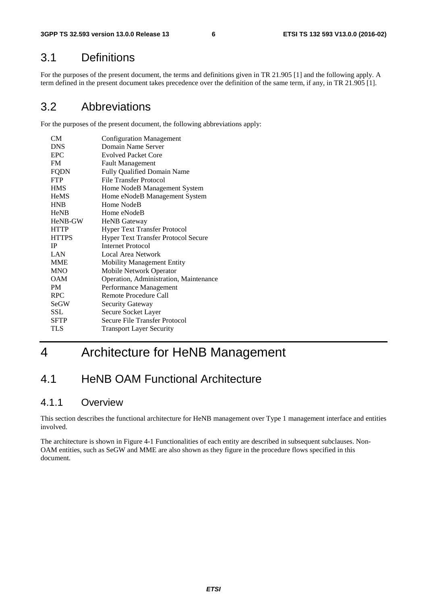### 3.1 Definitions

For the purposes of the present document, the terms and definitions given in TR 21.905 [1] and the following apply. A term defined in the present document takes precedence over the definition of the same term, if any, in TR 21.905 [1].

### 3.2 Abbreviations

For the purposes of the present document, the following abbreviations apply:

| CМ           | <b>Configuration Management</b>        |
|--------------|----------------------------------------|
| <b>DNS</b>   | Domain Name Server                     |
| <b>EPC</b>   | <b>Evolved Packet Core</b>             |
| FM.          | <b>Fault Management</b>                |
| <b>FQDN</b>  | Fully Qualified Domain Name            |
| <b>FTP</b>   | File Transfer Protocol                 |
| <b>HMS</b>   | Home NodeB Management System           |
| <b>HeMS</b>  | Home eNodeB Management System          |
| <b>HNB</b>   | Home NodeB                             |
| <b>HeNB</b>  | Home eNodeB                            |
| HeNB-GW      | <b>HeNB</b> Gateway                    |
| <b>HTTP</b>  | Hyper Text Transfer Protocol           |
| <b>HTTPS</b> | Hyper Text Transfer Protocol Secure    |
| IP           | <b>Internet Protocol</b>               |
| LAN          | Local Area Network                     |
| <b>MME</b>   | <b>Mobility Management Entity</b>      |
| <b>MNO</b>   | Mobile Network Operator                |
| <b>OAM</b>   | Operation, Administration, Maintenance |
| PM           | Performance Management                 |
| <b>RPC</b>   | Remote Procedure Call                  |
| SeGW         | Security Gateway                       |
| SSL.         | Secure Socket Layer                    |
| <b>SFTP</b>  | Secure File Transfer Protocol          |
| TLS          | <b>Transport Layer Security</b>        |
|              |                                        |

# 4 Architecture for HeNB Management

### 4.1 HeNB OAM Functional Architecture

### 4.1.1 Overview

This section describes the functional architecture for HeNB management over Type 1 management interface and entities involved.

The architecture is shown in Figure 4-1 Functionalities of each entity are described in subsequent subclauses. Non-OAM entities, such as SeGW and MME are also shown as they figure in the procedure flows specified in this document.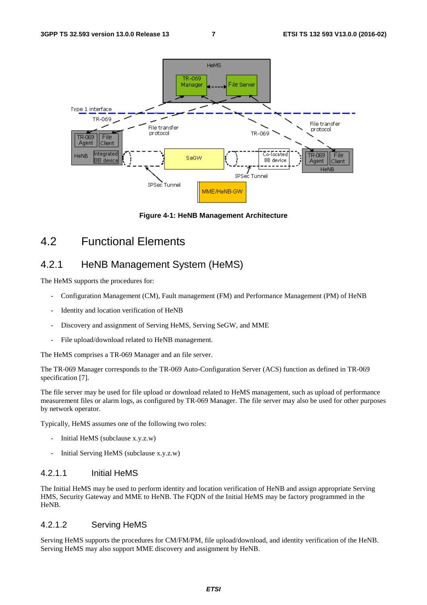

**Figure 4-1: HeNB Management Architecture** 

### 4.2 Functional Elements

### 4.2.1 HeNB Management System (HeMS)

The HeMS supports the procedures for:

- Configuration Management (CM), Fault management (FM) and Performance Management (PM) of HeNB
- Identity and location verification of HeNB
- Discovery and assignment of Serving HeMS, Serving SeGW, and MME
- File upload/download related to HeNB management.

The HeMS comprises a TR-069 Manager and an file server.

The TR-069 Manager corresponds to the TR-069 Auto-Configuration Server (ACS) function as defined in TR-069 specification [7].

The file server may be used for file upload or download related to HeMS management, such as upload of performance measurement files or alarm logs, as configured by TR-069 Manager. The file server may also be used for other purposes by network operator.

Typically, HeMS assumes one of the following two roles:

- Initial HeMS (subclause x.y.z.w)
- Initial Serving HeMS (subclause x.y.z.w)

#### 4.2.1.1 Initial HeMS

The Initial HeMS may be used to perform identity and location verification of HeNB and assign appropriate Serving HMS, Security Gateway and MME to HeNB. The FQDN of the Initial HeMS may be factory programmed in the HeNB.

#### 4.2.1.2 Serving HeMS

Serving HeMS supports the procedures for CM/FM/PM, file upload/download, and identity verification of the HeNB. Serving HeMS may also support MME discovery and assignment by HeNB.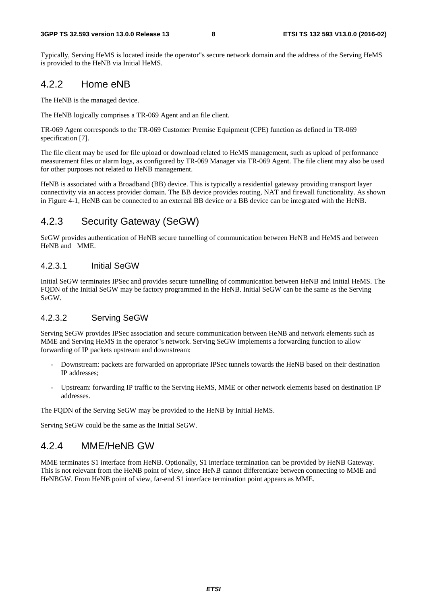Typically, Serving HeMS is located inside the operator"s secure network domain and the address of the Serving HeMS is provided to the HeNB via Initial HeMS.

#### 4.2.2 Home eNB

The HeNB is the managed device.

The HeNB logically comprises a TR-069 Agent and an file client.

TR-069 Agent corresponds to the TR-069 Customer Premise Equipment (CPE) function as defined in TR-069 specification [7].

The file client may be used for file upload or download related to HeMS management, such as upload of performance measurement files or alarm logs, as configured by TR-069 Manager via TR-069 Agent. The file client may also be used for other purposes not related to HeNB management.

HeNB is associated with a Broadband (BB) device. This is typically a residential gateway providing transport layer connectivity via an access provider domain. The BB device provides routing, NAT and firewall functionality. As shown in Figure 4-1, HeNB can be connected to an external BB device or a BB device can be integrated with the HeNB.

### 4.2.3 Security Gateway (SeGW)

SeGW provides authentication of HeNB secure tunnelling of communication between HeNB and HeMS and between HeNB and MME.

#### 4.2.3.1 Initial SeGW

Initial SeGW terminates IPSec and provides secure tunnelling of communication between HeNB and Initial HeMS. The FQDN of the Initial SeGW may be factory programmed in the HeNB. Initial SeGW can be the same as the Serving SeGW.

#### 4.2.3.2 Serving SeGW

Serving SeGW provides IPSec association and secure communication between HeNB and network elements such as MME and Serving HeMS in the operator"s network. Serving SeGW implements a forwarding function to allow forwarding of IP packets upstream and downstream:

- Downstream: packets are forwarded on appropriate IPSec tunnels towards the HeNB based on their destination IP addresses;
- Upstream: forwarding IP traffic to the Serving HeMS, MME or other network elements based on destination IP addresses.

The FQDN of the Serving SeGW may be provided to the HeNB by Initial HeMS.

Serving SeGW could be the same as the Initial SeGW.

### 4.2.4 MME/HeNB GW

MME terminates S1 interface from HeNB. Optionally, S1 interface termination can be provided by HeNB Gateway. This is not relevant from the HeNB point of view, since HeNB cannot differentiate between connecting to MME and HeNBGW. From HeNB point of view, far-end S1 interface termination point appears as MME.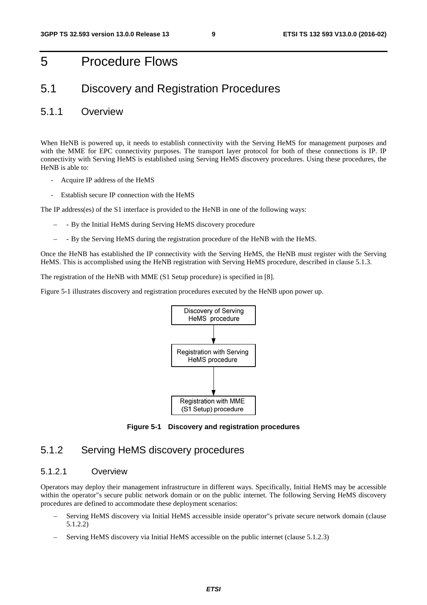### 5 Procedure Flows

### 5.1 Discovery and Registration Procedures

#### 5.1.1 Overview

When HeNB is powered up, it needs to establish connectivity with the Serving HeMS for management purposes and with the MME for EPC connectivity purposes. The transport layer protocol for both of these connections is IP. IP connectivity with Serving HeMS is established using Serving HeMS discovery procedures. Using these procedures, the HeNB is able to:

- Acquire IP address of the HeMS
- Establish secure IP connection with the HeMS

The IP address(es) of the S1 interface is provided to the HeNB in one of the following ways:

- - By the Initial HeMS during Serving HeMS discovery procedure
- - By the Serving HeMS during the registration procedure of the HeNB with the HeMS.

Once the HeNB has established the IP connectivity with the Serving HeMS, the HeNB must register with the Serving HeMS. This is accomplished using the HeNB registration with Serving HeMS procedure, described in clause 5.1.3.

The registration of the HeNB with MME (S1 Setup procedure) is specified in [8].

Figure 5-1 illustrates discovery and registration procedures executed by the HeNB upon power up.



**Figure 5-1 Discovery and registration procedures** 

### 5.1.2 Serving HeMS discovery procedures

#### 5.1.2.1 Overview

Operators may deploy their management infrastructure in different ways. Specifically, Initial HeMS may be accessible within the operator"s secure public network domain or on the public internet. The following Serving HeMS discovery procedures are defined to accommodate these deployment scenarios:

- Serving HeMS discovery via Initial HeMS accessible inside operator"s private secure network domain (clause 5.1.2.2)
- Serving HeMS discovery via Initial HeMS accessible on the public internet (clause 5.1.2.3)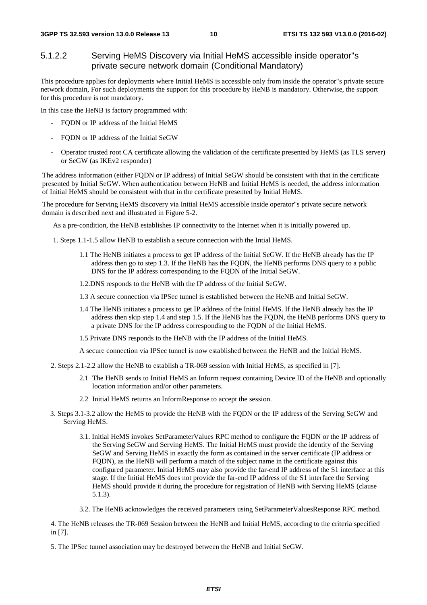#### 5.1.2.2 Serving HeMS Discovery via Initial HeMS accessible inside operator"s private secure network domain (Conditional Mandatory)

This procedure applies for deployments where Initial HeMS is accessible only from inside the operator"s private secure network domain, For such deployments the support for this procedure by HeNB is mandatory. Otherwise, the support for this procedure is not mandatory.

In this case the HeNB is factory programmed with:

- FQDN or IP address of the Initial HeMS
- FQDN or IP address of the Initial SeGW
- Operator trusted root CA certificate allowing the validation of the certificate presented by HeMS (as TLS server) or SeGW (as IKEv2 responder)

The address information (either FQDN or IP address) of Initial SeGW should be consistent with that in the certificate presented by Initial SeGW. When authentication between HeNB and Initial HeMS is needed, the address information of Initial HeMS should be consistent with that in the certificate presented by Initial HeMS.

The procedure for Serving HeMS discovery via Initial HeMS accessible inside operator"s private secure network domain is described next and illustrated in Figure 5-2.

As a pre-condition, the HeNB establishes IP connectivity to the Internet when it is initially powered up.

- 1. Steps 1.1-1.5 allow HeNB to establish a secure connection with the Intial HeMS.
	- 1.1 The HeNB initiates a process to get IP address of the Initial SeGW. If the HeNB already has the IP address then go to step 1.3. If the HeNB has the FQDN, the HeNB performs DNS query to a public DNS for the IP address corresponding to the FQDN of the Initial SeGW.
	- 1.2.DNS responds to the HeNB with the IP address of the Initial SeGW.
	- 1.3 A secure connection via IPSec tunnel is established between the HeNB and Initial SeGW.
	- 1.4 The HeNB initiates a process to get IP address of the Initial HeMS. If the HeNB already has the IP address then skip step 1.4 and step 1.5. If the HeNB has the FQDN, the HeNB performs DNS query to a private DNS for the IP address corresponding to the FQDN of the Initial HeMS.
	- 1.5 Private DNS responds to the HeNB with the IP address of the Initial HeMS.
	- A secure connection via IPSec tunnel is now established between the HeNB and the Initial HeMS.
- 2. Steps 2.1-2.2 allow the HeNB to establish a TR-069 session with Initial HeMS, as specified in [7].
	- 2.1 The HeNB sends to Initial HeMS an Inform request containing Device ID of the HeNB and optionally location information and/or other parameters.
	- 2.2 Initial HeMS returns an InformResponse to accept the session.
- 3. Steps 3.1-3.2 allow the HeMS to provide the HeNB with the FQDN or the IP address of the Serving SeGW and Serving HeMS.
	- 3.1. Initial HeMS invokes SetParameterValues RPC method to configure the FQDN or the IP address of the Serving SeGW and Serving HeMS. The Initial HeMS must provide the identity of the Serving SeGW and Serving HeMS in exactly the form as contained in the server certificate (IP address or FQDN), as the HeNB will perform a match of the subject name in the certificate against this configured parameter. Initial HeMS may also provide the far-end IP address of the S1 interface at this stage. If the Initial HeMS does not provide the far-end IP address of the S1 interface the Serving HeMS should provide it during the procedure for registration of HeNB with Serving HeMS (clause 5.1.3).
	- 3.2. The HeNB acknowledges the received parameters using SetParameterValuesResponse RPC method.

4. The HeNB releases the TR-069 Session between the HeNB and Initial HeMS, according to the criteria specified in [7].

5. The IPSec tunnel association may be destroyed between the HeNB and Initial SeGW.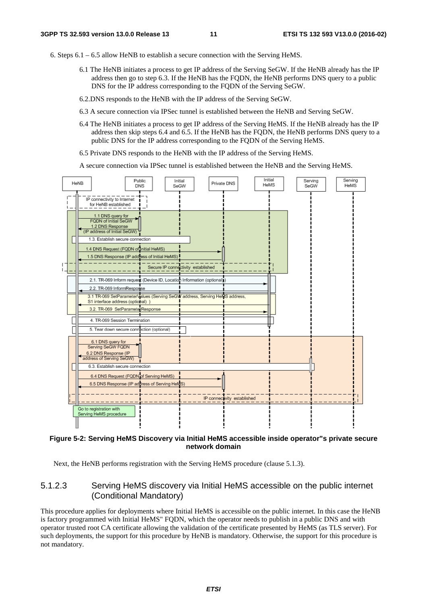- 6. Steps 6.1 6.5 allow HeNB to establish a secure connection with the Serving HeMS.
	- 6.1 The HeNB initiates a process to get IP address of the Serving SeGW. If the HeNB already has the IP address then go to step 6.3. If the HeNB has the FQDN, the HeNB performs DNS query to a public DNS for the IP address corresponding to the FQDN of the Serving SeGW.
	- 6.2.DNS responds to the HeNB with the IP address of the Serving SeGW.
	- 6.3 A secure connection via IPSec tunnel is established between the HeNB and Serving SeGW.
	- 6.4 The HeNB initiates a process to get IP address of the Serving HeMS. If the HeNB already has the IP address then skip steps 6.4 and 6.5. If the HeNB has the FQDN, the HeNB performs DNS query to a public DNS for the IP address corresponding to the FQDN of the Serving HeMS.
	- 6.5 Private DNS responds to the HeNB with the IP address of the Serving HeMS.

A secure connection via IPSec tunnel is established between the HeNB and the Serving HeMS.



#### **Figure 5-2: Serving HeMS Discovery via Initial HeMS accessible inside operator"s private secure network domain**

Next, the HeNB performs registration with the Serving HeMS procedure (clause 5.1.3).

#### 5.1.2.3 Serving HeMS discovery via Initial HeMS accessible on the public internet (Conditional Mandatory)

This procedure applies for deployments where Initial HeMS is accessible on the public internet. In this case the HeNB is factory programmed with Initial HeMS" FQDN, which the operator needs to publish in a public DNS and with operator trusted root CA certificate allowing the validation of the certificate presented by HeMS (as TLS server). For such deployments, the support for this procedure by HeNB is mandatory. Otherwise, the support for this procedure is not mandatory.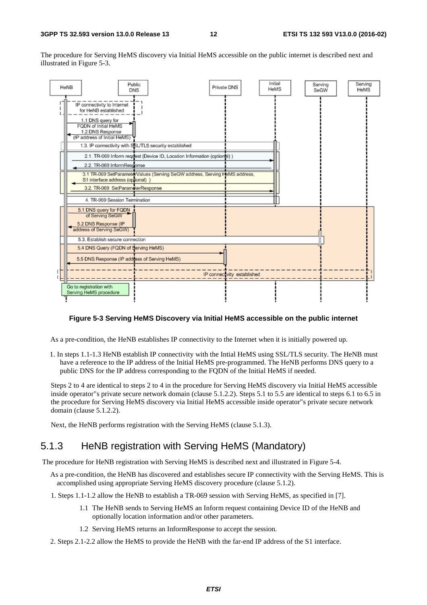The procedure for Serving HeMS discovery via Initial HeMS accessible on the public internet is described next and illustrated in Figure 5-3.



#### **Figure 5-3 Serving HeMS Discovery via Initial HeMS accessible on the public internet**

As a pre-condition, the HeNB establishes IP connectivity to the Internet when it is initially powered up.

1. In steps 1.1-1.3 HeNB establish IP connectivity with the Intial HeMS using SSL/TLS security. The HeNB must have a reference to the IP address of the Initial HeMS pre-programmed. The HeNB performs DNS query to a public DNS for the IP address corresponding to the FQDN of the Initial HeMS if needed.

Steps 2 to 4 are identical to steps 2 to 4 in the procedure for Serving HeMS discovery via Initial HeMS accessible inside operator"s private secure network domain (clause 5.1.2.2). Steps 5.1 to 5.5 are identical to steps 6.1 to 6.5 in the procedure for Serving HeMS discovery via Initial HeMS accessible inside operator"s private secure network domain (clause 5.1.2.2).

Next, the HeNB performs registration with the Serving HeMS (clause 5.1.3).

#### 5.1.3 HeNB registration with Serving HeMS (Mandatory)

The procedure for HeNB registration with Serving HeMS is described next and illustrated in Figure 5-4.

- As a pre-condition, the HeNB has discovered and establishes secure IP connectivity with the Serving HeMS. This is accomplished using appropriate Serving HeMS discovery procedure (clause 5.1.2).
- 1. Steps 1.1-1.2 allow the HeNB to establish a TR-069 session with Serving HeMS, as specified in [7].
	- 1.1 The HeNB sends to Serving HeMS an Inform request containing Device ID of the HeNB and optionally location information and/or other parameters.
	- 1.2 Serving HeMS returns an InformResponse to accept the session.
- 2. Steps 2.1-2.2 allow the HeMS to provide the HeNB with the far-end IP address of the S1 interface.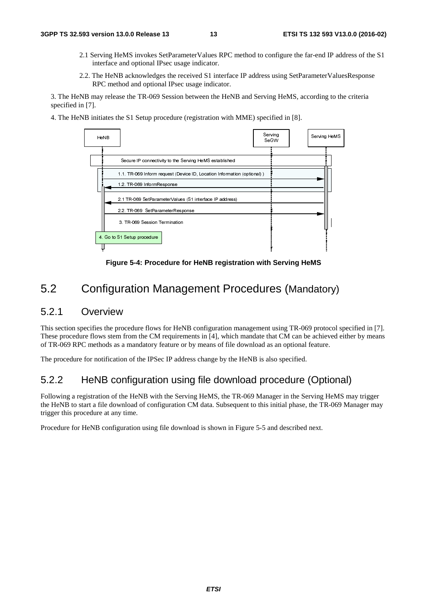- 2.1 Serving HeMS invokes SetParameterValues RPC method to configure the far-end IP address of the S1 interface and optional IPsec usage indicator.
- 2.2. The HeNB acknowledges the received S1 interface IP address using SetParameterValuesResponse RPC method and optional IPsec usage indicator.

3. The HeNB may release the TR-069 Session between the HeNB and Serving HeMS, according to the criteria specified in [7].

4. The HeNB initiates the S1 Setup procedure (registration with MME) specified in [8].



**Figure 5-4: Procedure for HeNB registration with Serving HeMS** 

### 5.2 Configuration Management Procedures (Mandatory)

#### 5.2.1 Overview

This section specifies the procedure flows for HeNB configuration management using TR-069 protocol specified in [7]. These procedure flows stem from the CM requirements in [4], which mandate that CM can be achieved either by means of TR-069 RPC methods as a mandatory feature or by means of file download as an optional feature.

The procedure for notification of the IPSec IP address change by the HeNB is also specified.

### 5.2.2 HeNB configuration using file download procedure (Optional)

Following a registration of the HeNB with the Serving HeMS, the TR-069 Manager in the Serving HeMS may trigger the HeNB to start a file download of configuration CM data. Subsequent to this initial phase, the TR-069 Manager may trigger this procedure at any time. tion of the HeNB with<br>ile download of contract the state at any time.<br>configuration using<br>configuration using

Procedure for HeNB configuration using file download is shown in Figure 5-5 and described next.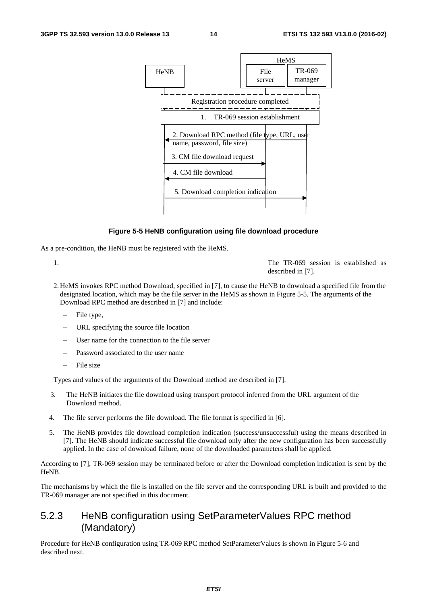

#### **Figure 5-5 HeNB configuration using file download procedure**

As a pre-condition, the HeNB must be registered with the HeMS.

1. The TR-069 session is established as described in [7].

- 2. HeMS invokes RPC method Download, specified in [7], to cause the HeNB to download a specified file from the designated location, which may be the file server in the HeMS as shown in Figure 5-5. The arguments of the Download RPC method are described in [7] and include:
	- File type,
	- URL specifying the source file location
	- User name for the connection to the file server
	- Password associated to the user name
	- File size

Types and values of the arguments of the Download method are described in [7].

- 3. The HeNB initiates the file download using transport protocol inferred from the URL argument of the Download method.
- 4. The file server performs the file download. The file format is specified in [6].
- 5. The HeNB provides file download completion indication (success/unsuccessful) using the means described in [7]. The HeNB should indicate successful file download only after the new configuration has been successfully applied. In the case of download failure, none of the downloaded parameters shall be applied.

According to [7], TR-069 session may be terminated before or after the Download completion indication is sent by the HeNB.

The mechanisms by which the file is installed on the file server and the corresponding URL is built and provided to the TR-069 manager are not specified in this document.

#### 5.2.3 HeNB configuration using SetParameterValues RPC method (Mandatory)

Procedure for HeNB configuration using TR-069 RPC method SetParameterValues is shown in Figure 5-6 and described next.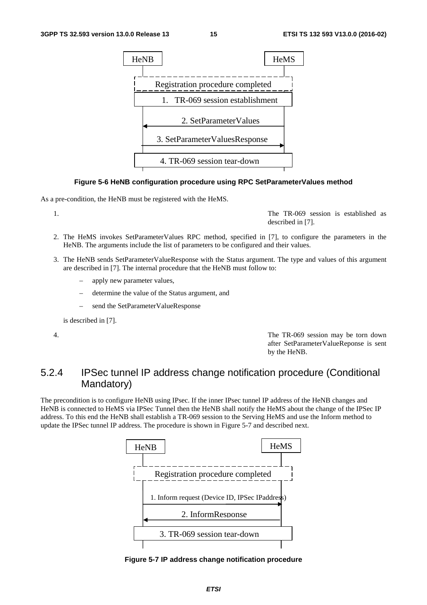

#### **Figure 5-6 HeNB configuration procedure using RPC SetParameterValues method**

As a pre-condition, the HeNB must be registered with the HeMS.

1. The TR-069 session is established as described in [7].

- 2. The HeMS invokes SetParameterValues RPC method, specified in [7], to configure the parameters in the HeNB. The arguments include the list of parameters to be configured and their values.
- 3. The HeNB sends SetParameterValueResponse with the Status argument. The type and values of this argument are described in [7]. The internal procedure that the HeNB must follow to:
	- apply new parameter values,
	- determine the value of the Status argument, and
	- send the SetParameterValueResponse

is described in [7].

4. The TR-069 session may be torn down after SetParameterValueReponse is sent by the HeNB.

### 5.2.4 IPSec tunnel IP address change notification procedure (Conditional Mandatory)

The precondition is to configure HeNB using IPsec. If the inner IPsec tunnel IP address of the HeNB changes and HeNB is connected to HeMS via IPSec Tunnel then the HeNB shall notify the HeMS about the change of the IPSec IP address. To this end the HeNB shall establish a TR-069 session to the Serving HeMS and use the Inform method to update the IPSec tunnel IP address. The procedure is shown in Figure 5-7 and described next.



**Figure 5-7 IP address change notification procedure**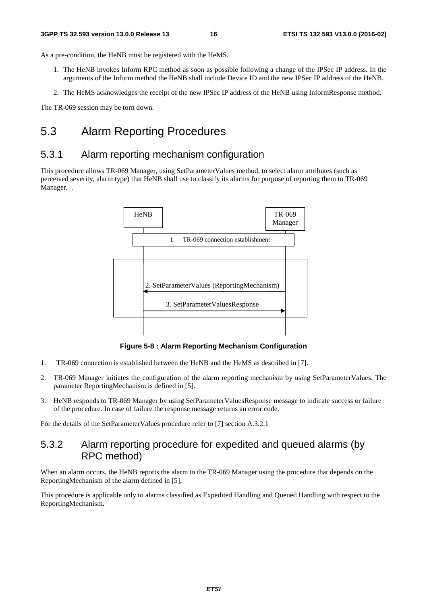As a pre-condition, the HeNB must be registered with the HeMS.

- 1. The HeNB invokes Inform RPC method as soon as possible following a change of the IPSec IP address. In the arguments of the Inform method the HeNB shall include Device ID and the new IPSec IP address of the HeNB.
- 2. The HeMS acknowledges the receipt of the new IPSec IP address of the HeNB using InformResponse method.

The TR-069 session may be torn down.

### 5.3 Alarm Reporting Procedures

### 5.3.1 Alarm reporting mechanism configuration

This procedure allows TR-069 Manager, using SetParameterValues method, to select alarm attributes (such as perceived severity, alarm type) that HeNB shall use to classify its alarms for purpose of reporting them to TR-069 Manager. .



**Figure 5-8 : Alarm Reporting Mechanism Configuration** 

- 1. TR-069 connection is established between the HeNB and the HeMS as described in [7].
- 2. TR-069 Manager initiates the configuration of the alarm reporting mechanism by using SetParameterValues. The parameter ReportingMechanism is defined in [5].
- 3. HeNB responds to TR-069 Manager by using SetParameterValuesResponse message to indicate success or failure of the procedure. In case of failure the response message returns an error code.

For the details of the SetParameterValues procedure refer to [7] section A.3.2.1

### 5.3.2 Alarm reporting procedure for expedited and queued alarms (by RPC method)

When an alarm occurs, the HeNB reports the alarm to the TR-069 Manager using the procedure that depends on the ReportingMechanism of the alarm defined in [5],

This procedure is applicable only to alarms classified as Expedited Handling and Queued Handling with respect to the ReportingMechanism.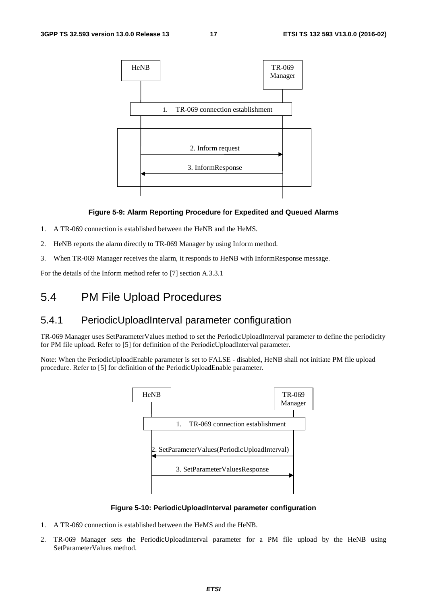

#### **Figure 5-9: Alarm Reporting Procedure for Expedited and Queued Alarms**

- 1. A TR-069 connection is established between the HeNB and the HeMS.
- 2. HeNB reports the alarm directly to TR-069 Manager by using Inform method.
- 3. When TR-069 Manager receives the alarm, it responds to HeNB with InformResponse message.

For the details of the Inform method refer to [7] section A.3.3.1

### 5.4 PM File Upload Procedures

### 5.4.1 PeriodicUploadInterval parameter configuration

TR-069 Manager uses SetParameterValues method to set the PeriodicUploadInterval parameter to define the periodicity for PM file upload. Refer to [5] for definition of the PeriodicUploadInterval parameter.

Note: When the PeriodicUploadEnable parameter is set to FALSE - disabled, HeNB shall not initiate PM file upload procedure. Refer to [5] for definition of the PeriodicUploadEnable parameter.



**Figure 5-10: PeriodicUploadInterval parameter configuration** 

- 1. A TR-069 connection is established between the HeMS and the HeNB.
- 2. TR-069 Manager sets the PeriodicUploadInterval parameter for a PM file upload by the HeNB using SetParameterValues method.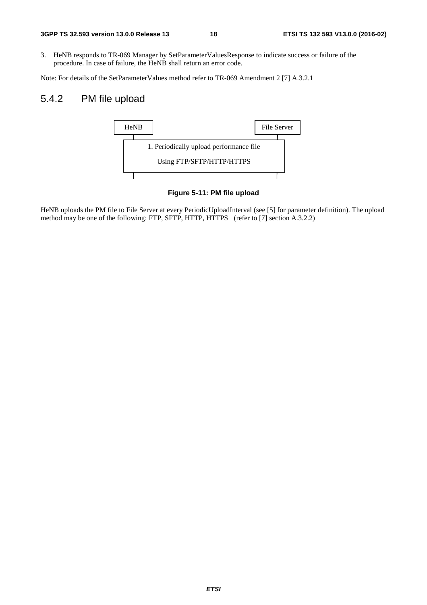3. HeNB responds to TR-069 Manager by SetParameterValuesResponse to indicate success or failure of the procedure. In case of failure, the HeNB shall return an error code.

Note: For details of the SetParameterValues method refer to TR-069 Amendment 2 [7] A.3.2.1

### 5.4.2 PM file upload



**Figure 5-11: PM file upload** 

HeNB uploads the PM file to File Server at every PeriodicUploadInterval (see [5] for parameter definition). The upload method may be one of the following: FTP, SFTP, HTTP, HTTPS (refer to [7] section A.3.2.2)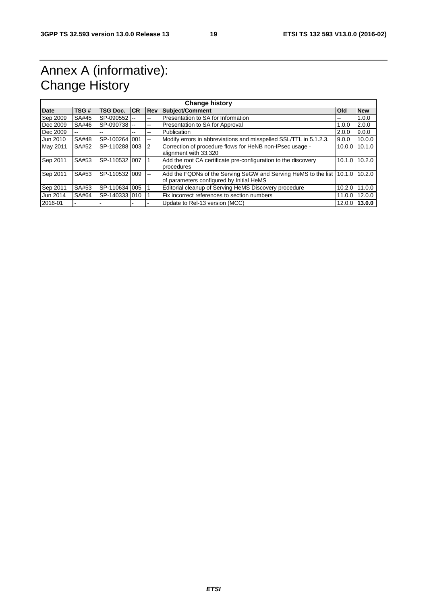# Annex A (informative): Change History

| <b>Change history</b> |              |                |           |                |                                                                       |              |            |
|-----------------------|--------------|----------------|-----------|----------------|-----------------------------------------------------------------------|--------------|------------|
| Date                  | TSG#         | TSG Doc.       | <b>CR</b> | Rev            | <b>Subject/Comment</b>                                                | <b>l</b> Old | <b>New</b> |
| Sep 2009              | SA#45        | SP-090552      |           | --             | Presentation to SA for Information                                    | --           | 1.0.0      |
| Dec 2009              | SA#46        | SP-090738 --   |           | --             | Presentation to SA for Approval                                       | 1.0.0        | 2.0.0      |
| Dec 2009              | $- -$        | --             | --        | --             | Publication                                                           | 2.0.0        | 9.0.0      |
| Jun 2010              | <b>SA#48</b> | SP-100264 1001 |           | --             | Modify errors in abbreviations and misspelled SSL/TTL in 5.1.2.3.     | 9.0.0        | 10.0.0     |
| May 2011              | SA#52        | SP-110288 003  |           | $\overline{2}$ | Correction of procedure flows for HeNB non-IPsec usage -              | 10.0.0       | 10.1.0     |
|                       |              |                |           |                | alignment with 33.320                                                 |              |            |
| Sep 2011              | SA#53        | SP-110532 007  |           |                | Add the root CA certificate pre-configuration to the discovery        | 10.1.0       | 10.2.0     |
|                       |              |                |           |                | procedures                                                            |              |            |
| Sep 2011              | SA#53        | SP-110532 009  |           | --             | Add the FQDNs of the Serving SeGW and Serving HeMS to the list 10.1.0 |              | 10.2.0     |
|                       |              |                |           |                | of parameters configured by Initial HeMS                              |              |            |
| Sep 2011              | SA#53        | SP-110634 005  |           |                | Editorial cleanup of Serving HeMS Discovery procedure                 | 10.2.0       | 11.0.0     |
| Jun 2014              | SA#64        | SP-1403331010  |           |                | Fix incorrect references to section numbers                           | 11.0.0       | 12.0.0     |
| 2016-01               |              |                |           |                | Update to Rel-13 version (MCC)                                        | 12.0.0       | 13.0.0     |